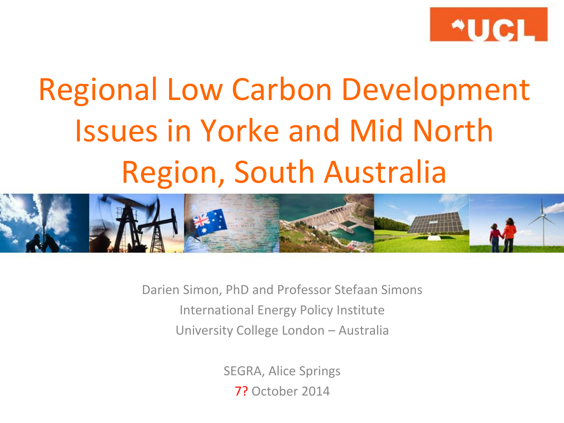

# Regional Low Carbon Development Issues in Yorke and Mid North Region, South Australia



Darien Simon, PhD and Professor Stefaan Simons International Energy Policy Institute University College London – Australia

> SEGRA, Alice Springs 7? October 2014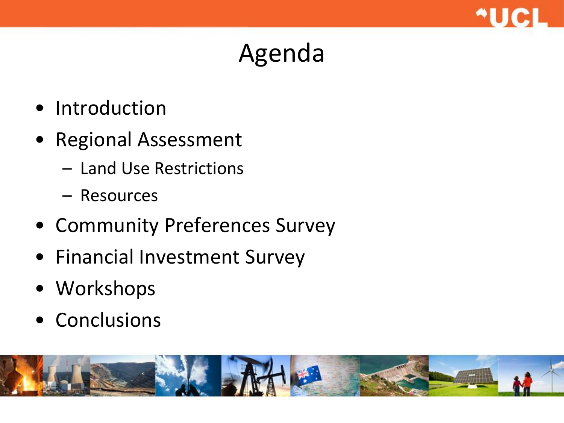

### Agenda

- Introduction
- Regional Assessment
	- Land Use Restrictions
	- Resources
- Community Preferences Survey
- Financial Investment Survey
- Workshops
- Conclusions

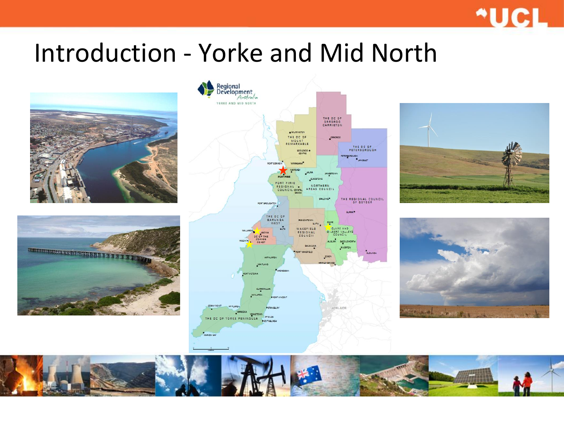#### \*UCL

#### Introduction - Yorke and Mid North











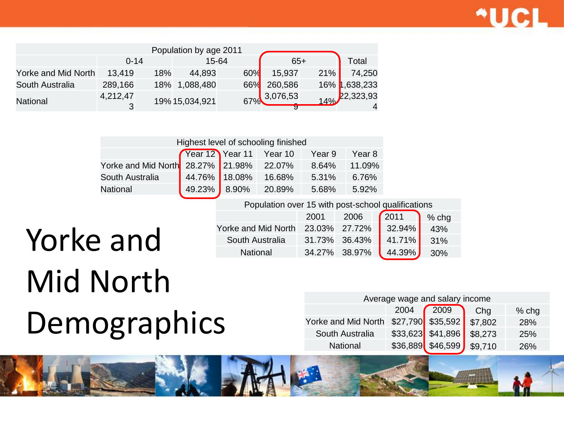

|                     |               |     | Population by age 2011 |                 |                   |     |               |
|---------------------|---------------|-----|------------------------|-----------------|-------------------|-----|---------------|
|                     | $0 - 14$      |     | 15-64                  |                 | $65+$             |     | Total         |
| Yorke and Mid North | 13,419        | 18% | 44,893                 | 60%             | 15,937            | 21% | 74,250        |
| South Australia     | 289,166       |     | 18% 1,088,480          | 66 <sup>%</sup> | 260,586           |     | 16% 1,638,233 |
| National            | 4,212,47<br>3 |     | 19% 15,034,921         |                 | 67% 3,076,53<br>ॶ | 14% | 22,323,93     |

| Highest level of schooling finished                          |  |  |        |       |        |  |  |  |
|--------------------------------------------------------------|--|--|--------|-------|--------|--|--|--|
| Year 12 Year 11 Year 10<br>Year <sub>8</sub><br>Year 9       |  |  |        |       |        |  |  |  |
| Yorke and Mid North 28.27% 21.98%                            |  |  | 22.07% | 8.64% | 11.09% |  |  |  |
| 44.76% 18.08%<br>South Australia<br>16.68%<br>5.31%<br>6.76% |  |  |        |       |        |  |  |  |
| 49.23% 8.90%<br>20.89%<br><b>National</b><br>5.92%<br>5.68%  |  |  |        |       |        |  |  |  |

Population over 15 with post-school qualifications

2001 2006 2011 % chg

### Yorke and Mid North 23.03% 27.72% 32.94% 43% **Yorke and Mid North** 23.03% 27.72% 32.94% 32.94% 41.71% 31% South Australia 31.73% 36.43% 41.71% 31% 30% Mid North Demographics

| Average wage and salary income        |  |                    |         |     |  |  |  |  |
|---------------------------------------|--|--------------------|---------|-----|--|--|--|--|
| 2009<br>2004<br>$%$ chg<br>Chg        |  |                    |         |     |  |  |  |  |
| Yorke and Mid North \$27,790 \$35,592 |  |                    | \$7,802 | 28% |  |  |  |  |
| South Australia                       |  | $$33,623$ \$41,896 | \$8,273 | 25% |  |  |  |  |
| <b>National</b>                       |  | \$36,889 \$46,599  | \$9.710 | 26% |  |  |  |  |

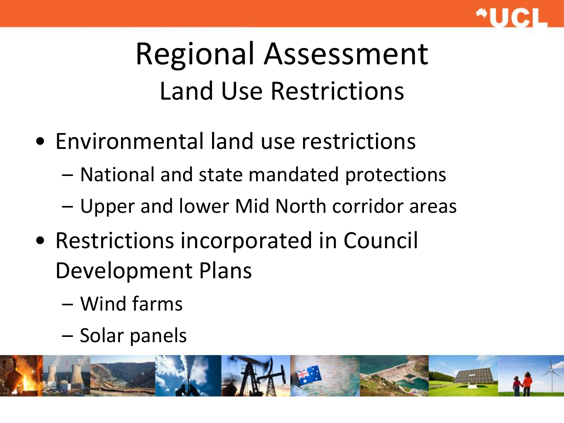

## Regional Assessment Land Use Restrictions

- Environmental land use restrictions
	- National and state mandated protections
	- Upper and lower Mid North corridor areas
- Restrictions incorporated in Council Development Plans
	- Wind farms
	- Solar panels

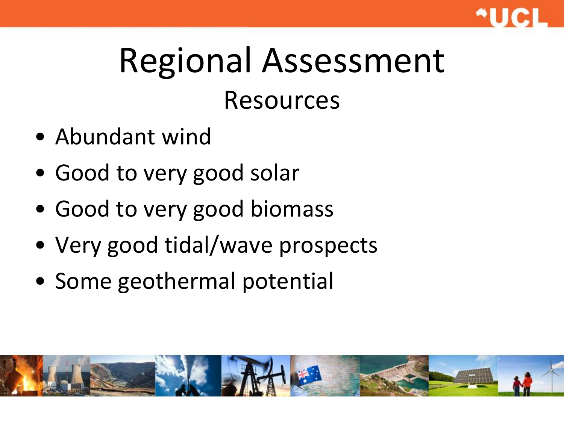

# Regional Assessment Resources

- Abundant wind
- Good to very good solar
- Good to very good biomass
- Very good tidal/wave prospects
- Some geothermal potential

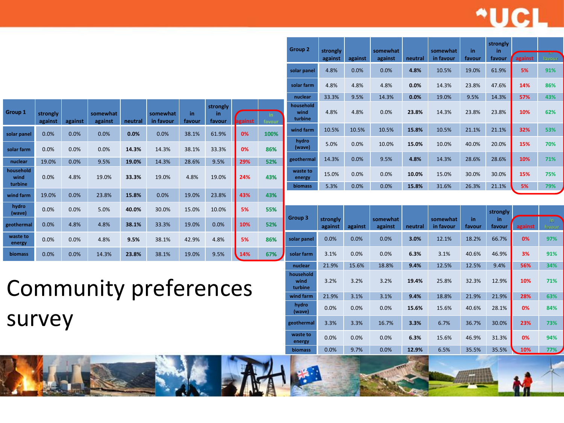### \*UCI

**in** 

**strongly in** 

| Group 1                      | strongly<br>against | against | somewhat<br>against | neutral | somewhat<br>in favour | in<br>favour | strongly<br>in<br>favour | against | in.<br>favour |
|------------------------------|---------------------|---------|---------------------|---------|-----------------------|--------------|--------------------------|---------|---------------|
| solar panel                  | 0.0%                | 0.0%    | 0.0%                | 0.0%    | 0.0%                  | 38.1%        | 61.9%                    | 0%      | 100%          |
| solar farm                   | 0.0%                | 0.0%    | 0.0%                | 14.3%   | 14.3%                 | 38.1%        | 33.3%                    | 0%      | 86%           |
| nuclear                      | 19.0%               | 0.0%    | 9.5%                | 19.0%   | 14.3%                 | 28.6%        | 9.5%                     | 29%     | 52%           |
| household<br>wind<br>turbine | 0.0%                | 4.8%    | 19.0%               | 33.3%   | 19.0%                 | 4.8%         | 19.0%                    | 24%     | 43%           |
| wind farm                    | 19.0%               | 0.0%    | 23.8%               | 15.8%   | 0.0%                  | 19.0%        | 23.8%                    | 43%     | 43%           |
| hydro<br>(wave)              | 0.0%                | 0.0%    | 5.0%                | 40.0%   | 30.0%                 | 15.0%        | 10.0%                    | 5%      | 55%           |
| geothermal                   | 0.0%                | 4.8%    | 4.8%                | 38.1%   | 33.3%                 | 19.0%        | 0.0%                     | 10%     | 52%           |
| waste to<br>energy           | 0.0%                | 0.0%    | 4.8%                | 9.5%    | 38.1%                 | 42.9%        | 4.8%                     | 5%      | 86%           |
| biomass                      | 0.0%                | 0.0%    | 14.3%               | 23.8%   | 38.1%                 | 19.0%        | 9.5%                     | 14%     | 67%           |

**against against against neutral in favour favour favour against solar panel** 4.8% 0.0% 0.0% **4.8%** 10.5% 19.0% 61.9% **5% 91% solar farm** 4.8% 4.8% 4.8% **0.0%** 14.3% 23.8% 47.6% **14% 86% nuclear** 33.3% 9.5% 14.3% **0.0%** 19.0% 9.5% 14.3% **57% 43% household wind turbine** 4.8% 4.8% 0.0% **23.8%** 14.3% 23.8% 23.8% **10% 62% wind farm** 10.5% 10.5% 10.5% **15.8%** 10.5% 21.1% 21.1% **32% 53% hydro (wave)** 5.0% 0.0% 10.0% **15.0%** 10.0% 40.0% 20.0% **15% 70% geothermal** 14.3% 0.0% 9.5% **4.8%** 14.3% 28.6% 28.6% **10% 71% waste to energy** 15.0% 0.0% 0.0% **10.0%** 15.0% 30.0% 30.0% **15% 75%**

**biomass** 5.3% 0.0% 0.0% **15.8%** 31.6% 26.3% 21.1% **5% 79%**

**somewhat** 

**in** 

**somewhat** 

**Group 2 strongly** 

| Group 3                      | strongly<br>against | against | somewhat<br>against | neutral | somewhat<br>in favour | in<br>favour | strongly<br>in<br>favour | against | in.<br>favour |
|------------------------------|---------------------|---------|---------------------|---------|-----------------------|--------------|--------------------------|---------|---------------|
| solar panel                  | 0.0%                | 0.0%    | 0.0%                | 3.0%    | 12.1%                 | 18.2%        | 66.7%                    | 0%      | 97%           |
| solar farm                   | 3.1%                | 0.0%    | 0.0%                | 6.3%    | 3.1%                  | 40.6%        | 46.9%                    | 3%      | 91%           |
| nuclear                      | 21.9%               | 15.6%   | 18.8%               | 9.4%    | 12.5%                 | 12.5%        | 9.4%                     | 56%     | 34%           |
| household<br>wind<br>turbine | 3.2%                | 3.2%    | 3.2%                | 19.4%   | 25.8%                 | 32.3%        | 12.9%                    | 10%     | 71%           |
| wind farm                    | 21.9%               | 3.1%    | 3.1%                | 9.4%    | 18.8%                 | 21.9%        | 21.9%                    | 28%     | 63%           |
| hydro<br>(wave)              | 0.0%                | 0.0%    | 0.0%                | 15.6%   | 15.6%                 | 40.6%        | 28.1%                    | 0%      | 84%           |
| geothermal                   | 3.3%                | 3.3%    | 16.7%               | 3.3%    | 6.7%                  | 36.7%        | 30.0%                    | 23%     | 73%           |
| waste to<br>energy           | 0.0%                | 0.0%    | 0.0%                | 6.3%    | 15.6%                 | 46.9%        | 31.3%                    | 0%      | 94%           |
| <b>biomass</b>               | 0.0%                | 9.7%    | 0.0%                | 12.9%   | 6.5%                  | 35.5%        | 35.5%                    | 10%     | $77\%$        |

Community preferences survey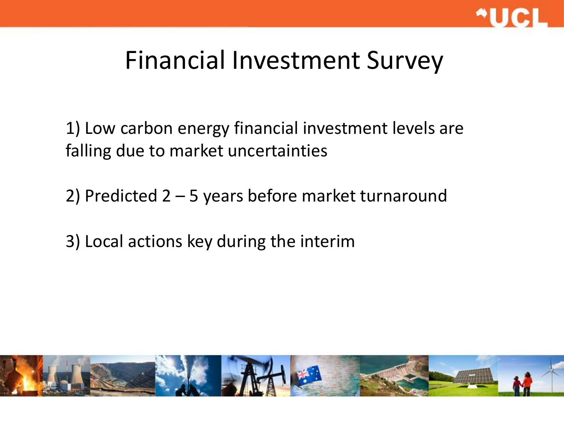

### Financial Investment Survey

1) Low carbon energy financial investment levels are falling due to market uncertainties

2) Predicted 2 – 5 years before market turnaround

3) Local actions key during the interim

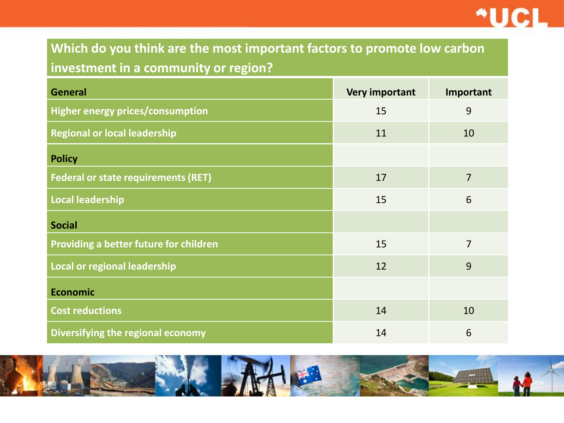

#### **Which do you think are the most important factors to promote low carbon investment in a community or region?**

| <b>General</b>                             | <b>Very important</b> | Important       |
|--------------------------------------------|-----------------------|-----------------|
| <b>Higher energy prices/consumption</b>    | 15                    | 9               |
| <b>Regional or local leadership</b>        | 11                    | 10              |
| <b>Policy</b>                              |                       |                 |
| <b>Federal or state requirements (RET)</b> | 17                    | $\overline{7}$  |
| <b>Local leadership</b>                    | 15                    | $6\phantom{1}6$ |
| <b>Social</b>                              |                       |                 |
| Providing a better future for children     | 15                    | $\overline{7}$  |
| Local or regional leadership               | 12                    | 9               |
| <b>Economic</b>                            |                       |                 |
| <b>Cost reductions</b>                     | 14                    | 10              |
| Diversifying the regional economy          | 14                    | 6               |

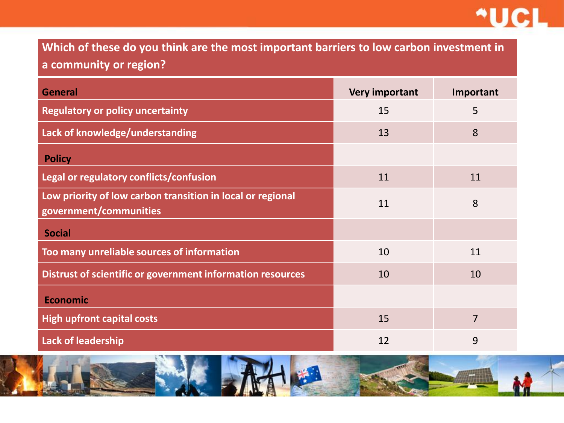

**Which of these do you think are the most important barriers to low carbon investment in a community or region?**

| <b>General</b>                                                                       | Very important | Important      |
|--------------------------------------------------------------------------------------|----------------|----------------|
| <b>Regulatory or policy uncertainty</b>                                              | 15             | 5              |
| Lack of knowledge/understanding                                                      | 13             | 8              |
| <b>Policy</b>                                                                        |                |                |
| Legal or regulatory conflicts/confusion                                              | 11             | 11             |
| Low priority of low carbon transition in local or regional<br>government/communities | 11             | 8              |
| <b>Social</b>                                                                        |                |                |
| Too many unreliable sources of information                                           | 10             | 11             |
| Distrust of scientific or government information resources                           | 10             | 10             |
| <b>Economic</b>                                                                      |                |                |
| <b>High upfront capital costs</b>                                                    | 15             | $\overline{7}$ |
| <b>Lack of leadership</b>                                                            | 12             | 9              |

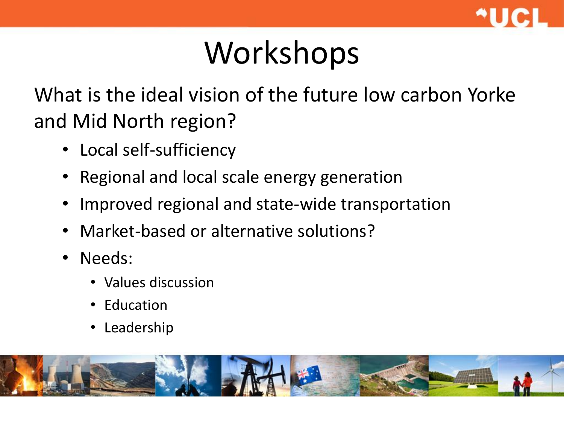

## Workshops

What is the ideal vision of the future low carbon Yorke and Mid North region?

- Local self-sufficiency
- Regional and local scale energy generation
- Improved regional and state-wide transportation
- Market-based or alternative solutions?
- Needs:
	- Values discussion
	- Education
	- **Leadership**

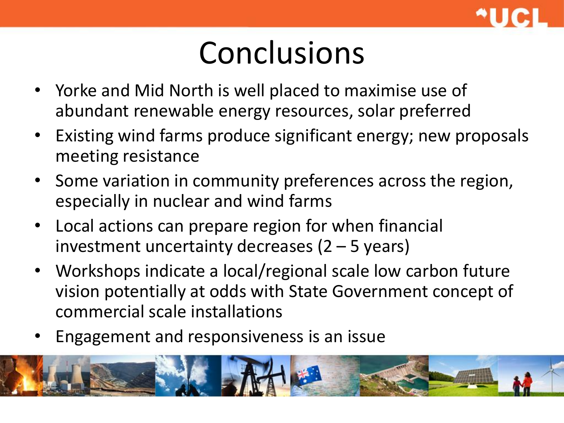

### Conclusions

- Yorke and Mid North is well placed to maximise use of abundant renewable energy resources, solar preferred
- Existing wind farms produce significant energy; new proposals meeting resistance
- Some variation in community preferences across the region, especially in nuclear and wind farms
- Local actions can prepare region for when financial investment uncertainty decreases  $(2 - 5$  years)
- Workshops indicate a local/regional scale low carbon future vision potentially at odds with State Government concept of commercial scale installations
- Engagement and responsiveness is an issue